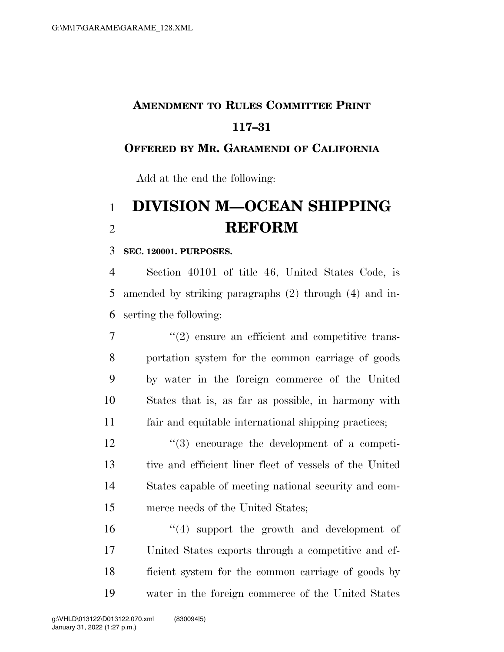# **AMENDMENT TO RULES COMMITTEE PRINT 117–31**

### **OFFERED BY MR. GARAMENDI OF CALIFORNIA**

Add at the end the following:

# **DIVISION M—OCEAN SHIPPING REFORM**

### **SEC. 120001. PURPOSES.**

 Section 40101 of title 46, United States Code, is amended by striking paragraphs (2) through (4) and in-serting the following:

 $\frac{1}{2}$  ensure an efficient and competitive trans- portation system for the common carriage of goods by water in the foreign commerce of the United States that is, as far as possible, in harmony with fair and equitable international shipping practices;

 $\frac{12}{2}$  ''(3) encourage the development of a competi- tive and efficient liner fleet of vessels of the United States capable of meeting national security and com-merce needs of the United States;

16 ''(4) support the growth and development of United States exports through a competitive and ef- ficient system for the common carriage of goods by water in the foreign commerce of the United States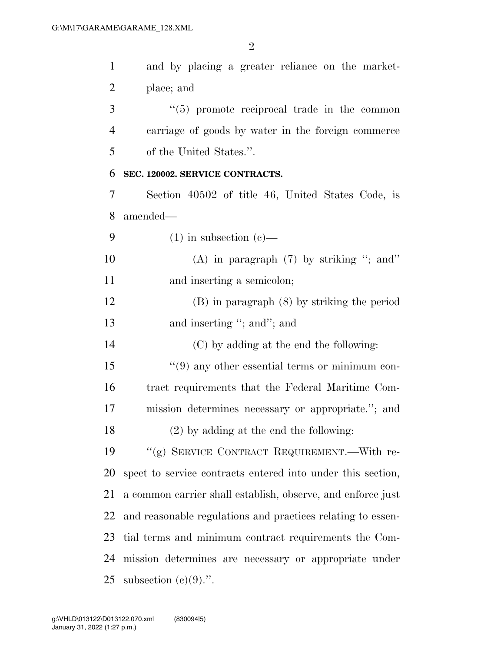| $\mathbf{1}$   | and by placing a greater reliance on the market-            |
|----------------|-------------------------------------------------------------|
| $\overline{2}$ | place; and                                                  |
| 3              | $(5)$ promote reciprocal trade in the common                |
| $\overline{4}$ | carriage of goods by water in the foreign commerce          |
| 5              | of the United States.".                                     |
| 6              | SEC. 120002. SERVICE CONTRACTS.                             |
| 7              | Section 40502 of title 46, United States Code, is           |
| 8              | amended—                                                    |
| 9              | $(1)$ in subsection $(e)$ —                                 |
| 10             | (A) in paragraph $(7)$ by striking "; and"                  |
| 11             | and inserting a semicolon;                                  |
| 12             | $(B)$ in paragraph $(8)$ by striking the period             |
| 13             | and inserting "; and"; and                                  |
| 14             | (C) by adding at the end the following:                     |
| 15             | $\lq(9)$ any other essential terms or minimum con-          |
| 16             | tract requirements that the Federal Maritime Com-           |
| 17             | mission determines necessary or appropriate."; and          |
| 18             | $(2)$ by adding at the end the following:                   |
| 19             | "(g) SERVICE CONTRACT REQUIREMENT.—With re-                 |
| 20             | spect to service contracts entered into under this section, |
| 21             | a common carrier shall establish, observe, and enforce just |
| 22             | and reasonable regulations and practices relating to essen- |
| 23             | tial terms and minimum contract requirements the Com-       |
| 24             | mission determines are necessary or appropriate under       |
| 25             | subsection $(c)(9)$ .".                                     |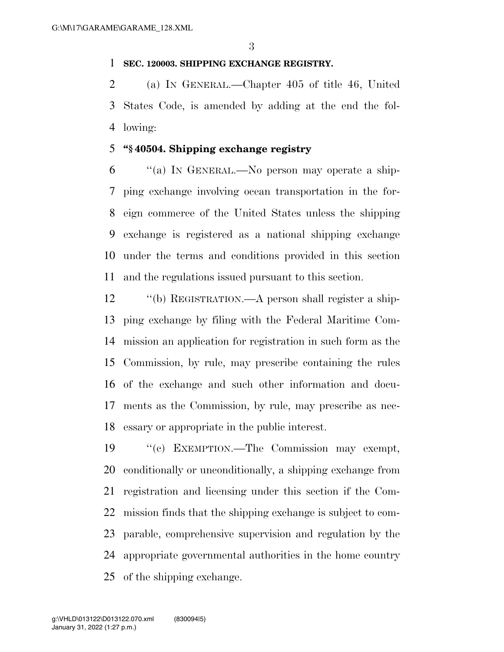#### **SEC. 120003. SHIPPING EXCHANGE REGISTRY.**

 (a) IN GENERAL.—Chapter 405 of title 46, United States Code, is amended by adding at the end the fol-lowing:

#### **''§ 40504. Shipping exchange registry**

 ''(a) IN GENERAL.—No person may operate a ship- ping exchange involving ocean transportation in the for- eign commerce of the United States unless the shipping exchange is registered as a national shipping exchange under the terms and conditions provided in this section and the regulations issued pursuant to this section.

 ''(b) REGISTRATION.—A person shall register a ship- ping exchange by filing with the Federal Maritime Com- mission an application for registration in such form as the Commission, by rule, may prescribe containing the rules of the exchange and such other information and docu- ments as the Commission, by rule, may prescribe as nec-essary or appropriate in the public interest.

 ''(c) EXEMPTION.—The Commission may exempt, conditionally or unconditionally, a shipping exchange from registration and licensing under this section if the Com- mission finds that the shipping exchange is subject to com- parable, comprehensive supervision and regulation by the appropriate governmental authorities in the home country of the shipping exchange.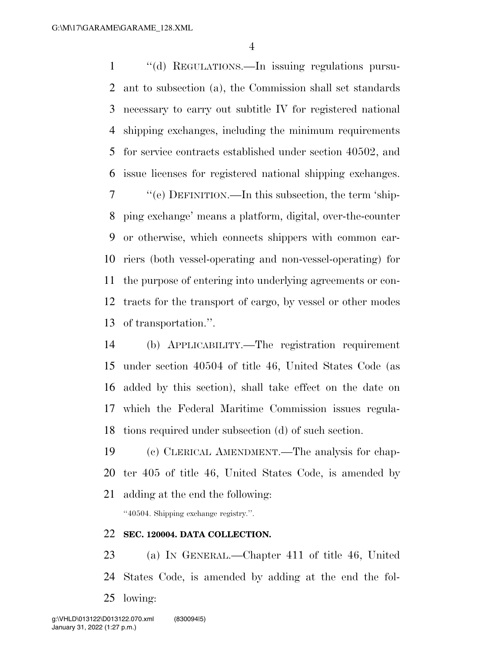1 "(d) REGULATIONS.—In issuing regulations pursu- ant to subsection (a), the Commission shall set standards necessary to carry out subtitle IV for registered national shipping exchanges, including the minimum requirements for service contracts established under section 40502, and issue licenses for registered national shipping exchanges. ''(e) DEFINITION.—In this subsection, the term 'ship- ping exchange' means a platform, digital, over-the-counter or otherwise, which connects shippers with common car- riers (both vessel-operating and non-vessel-operating) for the purpose of entering into underlying agreements or con- tracts for the transport of cargo, by vessel or other modes of transportation.''.

 (b) APPLICABILITY.—The registration requirement under section 40504 of title 46, United States Code (as added by this section), shall take effect on the date on which the Federal Maritime Commission issues regula-tions required under subsection (d) of such section.

 (c) CLERICAL AMENDMENT.—The analysis for chap- ter 405 of title 46, United States Code, is amended by adding at the end the following:

''40504. Shipping exchange registry.''.

#### **SEC. 120004. DATA COLLECTION.**

 (a) IN GENERAL.—Chapter 411 of title 46, United States Code, is amended by adding at the end the fol-lowing: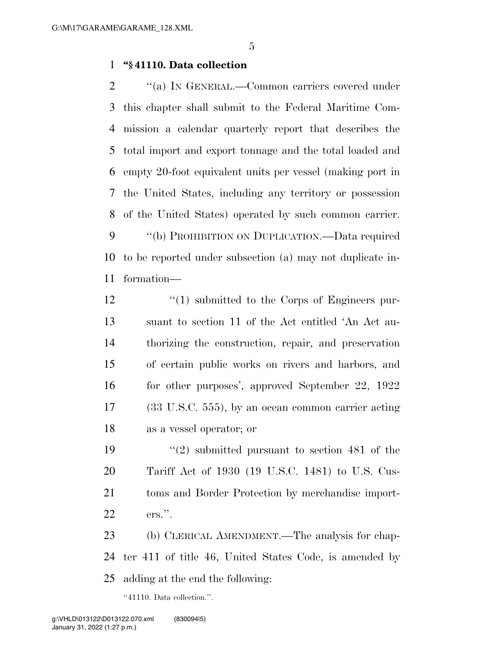#### **''§ 41110. Data collection**

 $\gamma$  (a) In GENERAL.—Common carriers covered under this chapter shall submit to the Federal Maritime Com- mission a calendar quarterly report that describes the total import and export tonnage and the total loaded and empty 20-foot equivalent units per vessel (making port in the United States, including any territory or possession of the United States) operated by such common carrier. 9 "(b) PROHIBITION ON DUPLICATION.—Data required to be reported under subsection (a) may not duplicate in-formation—

12 ''(1) submitted to the Corps of Engineers pur- suant to section 11 of the Act entitled 'An Act au- thorizing the construction, repair, and preservation of certain public works on rivers and harbors, and for other purposes', approved September 22, 1922 (33 U.S.C. 555), by an ocean common carrier acting as a vessel operator; or

 ''(2) submitted pursuant to section 481 of the Tariff Act of 1930 (19 U.S.C. 1481) to U.S. Cus- toms and Border Protection by merchandise import-ers.''.

 (b) CLERICAL AMENDMENT.—The analysis for chap- ter 411 of title 46, United States Code, is amended by adding at the end the following:

''41110. Data collection.''.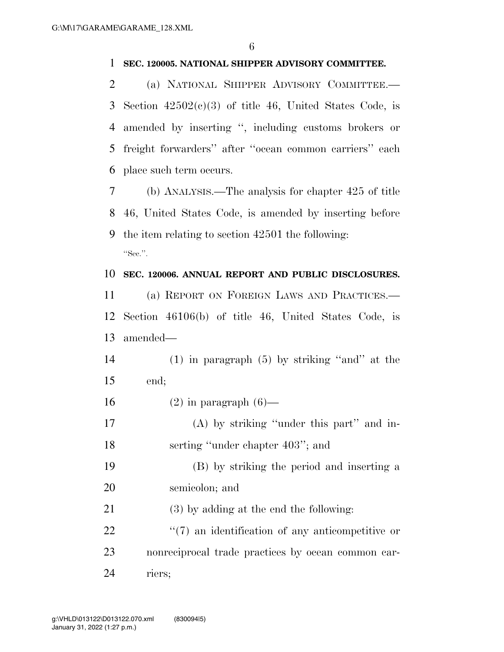#### **SEC. 120005. NATIONAL SHIPPER ADVISORY COMMITTEE.**

 (a) NATIONAL SHIPPER ADVISORY COMMITTEE.— 3 Section  $42502(c)(3)$  of title 46, United States Code, is amended by inserting '', including customs brokers or freight forwarders'' after ''ocean common carriers'' each place such term occurs.

 (b) ANALYSIS.—The analysis for chapter 425 of title 46, United States Code, is amended by inserting before the item relating to section 42501 the following: "Sec.".

#### **SEC. 120006. ANNUAL REPORT AND PUBLIC DISCLOSURES.**

 (a) REPORT ON FOREIGN LAWS AND PRACTICES.— Section 46106(b) of title 46, United States Code, is amended—

 (1) in paragraph (5) by striking ''and'' at the end;

- 16  $(2)$  in paragraph  $(6)$ —
- (A) by striking ''under this part'' and in-18 serting "under chapter 403"; and
- (B) by striking the period and inserting a semicolon; and
- (3) by adding at the end the following:
- 22  $\frac{1}{2}$  (7) an identification of any anticompetitive or nonreciprocal trade practices by ocean common car-riers;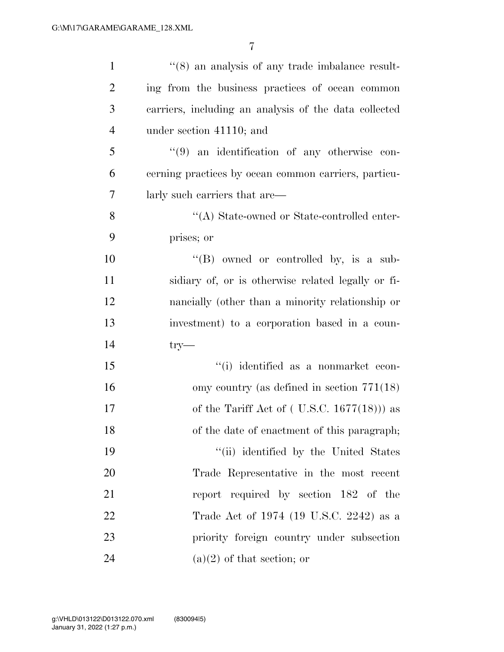| $\mathbf{1}$   | $\cdot\cdot$ (8) an analysis of any trade imbalance result- |
|----------------|-------------------------------------------------------------|
| $\overline{2}$ | ing from the business practices of ocean common             |
| 3              | carriers, including an analysis of the data collected       |
| $\overline{4}$ | under section 41110; and                                    |
| 5              | $(9)$ an identification of any otherwise con-               |
| 6              | cerning practices by ocean common carriers, particu-        |
| 7              | larly such carriers that are—                               |
| $8\,$          | "(A) State-owned or State-controlled enter-                 |
| 9              | prises; or                                                  |
| 10             | $\lq\lq (B)$ owned or controlled by, is a sub-              |
| 11             | sidiary of, or is otherwise related legally or fi-          |
| 12             | nancially (other than a minority relationship or            |
| 13             | investment) to a corporation based in a coun-               |
| 14             | $try-$                                                      |
| 15             | "(i) identified as a nonmarket econ-                        |
| 16             | omy country (as defined in section $771(18)$ )              |
| 17             | of the Tariff Act of $($ U.S.C. 1677 $(18)$ $)$ as          |
| 18             | of the date of enactment of this paragraph;                 |
| 19             | "(ii) identified by the United States                       |
| 20             | Trade Representative in the most recent                     |
| 21             | report required by section 182 of the                       |
| 22             | Trade Act of 1974 (19 U.S.C. 2242) as a                     |
| 23             | priority foreign country under subsection                   |
| 24             | $(a)(2)$ of that section; or                                |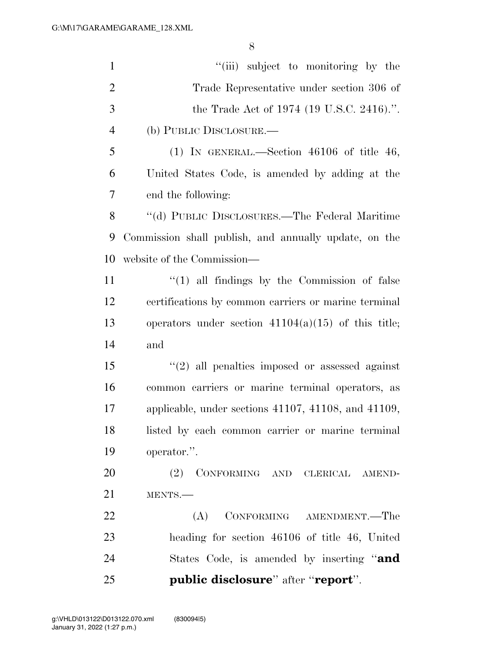| $\mathbf{1}$   | "(iii) subject to monitoring by the                          |
|----------------|--------------------------------------------------------------|
| $\overline{2}$ | Trade Representative under section 306 of                    |
| 3              | the Trade Act of 1974 (19 U.S.C. 2416).".                    |
| $\overline{4}$ | (b) PUBLIC DISCLOSURE.—                                      |
| 5              | (1) IN GENERAL.—Section $46106$ of title 46,                 |
| 6              | United States Code, is amended by adding at the              |
| 7              | end the following:                                           |
| 8              | "(d) PUBLIC DISCLOSURES.—The Federal Maritime                |
| 9              | Commission shall publish, and annually update, on the        |
| 10             | website of the Commission—                                   |
| 11             | $\lq(1)$ all findings by the Commission of false             |
| 12             | certifications by common carriers or marine terminal         |
| 13             | operators under section $41104(a)(15)$ of this title;        |
| 14             | and                                                          |
| 15             | $\lq(2)$ all penalties imposed or assessed against           |
| 16             | common carriers or marine terminal operators, as             |
| 17             | applicable, under sections $41107$ , $41108$ , and $41109$ , |
| 18             | listed by each common carrier or marine terminal             |
| 19             | operator.".                                                  |
| 20             | (2) CONFORMING AND CLERICAL AMEND-                           |
| 21             | MENTS.-                                                      |
| 22             | CONFORMING AMENDMENT.—The<br>(A)                             |
| 23             | heading for section 46106 of title 46, United                |
| 24             | States Code, is amended by inserting "and                    |
| 25             | public disclosure" after "report".                           |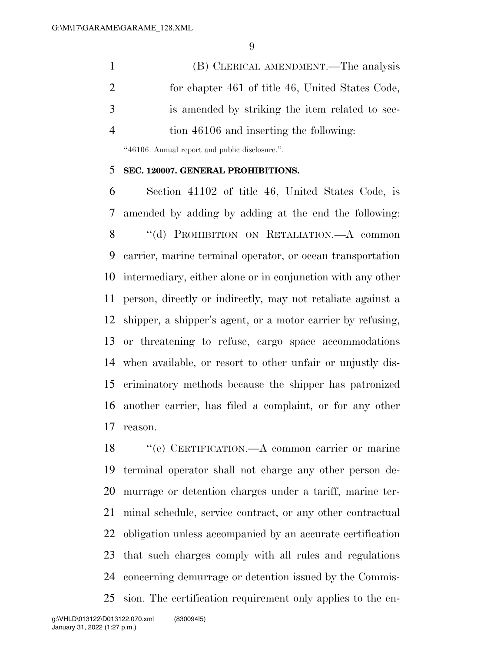(B) CLERICAL AMENDMENT.—The analysis for chapter 461 of title 46, United States Code, is amended by striking the item related to sec-tion 46106 and inserting the following:

''46106. Annual report and public disclosure.''.

#### **SEC. 120007. GENERAL PROHIBITIONS.**

 Section 41102 of title 46, United States Code, is amended by adding by adding at the end the following: 8 "(d) PROHIBITION ON RETALIATION.—A common carrier, marine terminal operator, or ocean transportation intermediary, either alone or in conjunction with any other person, directly or indirectly, may not retaliate against a shipper, a shipper's agent, or a motor carrier by refusing, or threatening to refuse, cargo space accommodations when available, or resort to other unfair or unjustly dis- criminatory methods because the shipper has patronized another carrier, has filed a complaint, or for any other reason.

 ''(e) CERTIFICATION.—A common carrier or marine terminal operator shall not charge any other person de- murrage or detention charges under a tariff, marine ter- minal schedule, service contract, or any other contractual obligation unless accompanied by an accurate certification that such charges comply with all rules and regulations concerning demurrage or detention issued by the Commis-sion. The certification requirement only applies to the en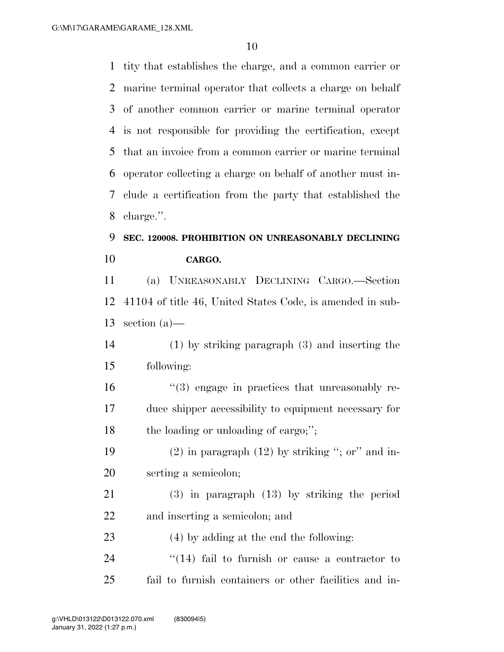tity that establishes the charge, and a common carrier or marine terminal operator that collects a charge on behalf of another common carrier or marine terminal operator is not responsible for providing the certification, except that an invoice from a common carrier or marine terminal operator collecting a charge on behalf of another must in- clude a certification from the party that established the charge.''.

## **SEC. 120008. PROHIBITION ON UNREASONABLY DECLINING CARGO.**

 (a) UNREASONABLY DECLINING CARGO.—Section 41104 of title 46, United States Code, is amended in sub-section (a)—

 (1) by striking paragraph (3) and inserting the following:

 ''(3) engage in practices that unreasonably re- duce shipper accessibility to equipment necessary for 18 the loading or unloading of cargo;";

19 (2) in paragraph  $(12)$  by striking "; or" and in-serting a semicolon;

 (3) in paragraph (13) by striking the period and inserting a semicolon; and

(4) by adding at the end the following:

24 ''(14) fail to furnish or cause a contractor to fail to furnish containers or other facilities and in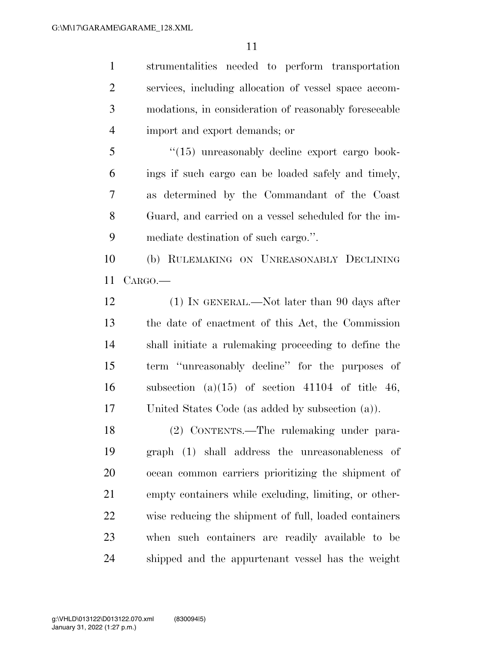strumentalities needed to perform transportation services, including allocation of vessel space accom- modations, in consideration of reasonably foreseeable import and export demands; or

 ''(15) unreasonably decline export cargo book- ings if such cargo can be loaded safely and timely, as determined by the Commandant of the Coast Guard, and carried on a vessel scheduled for the im-mediate destination of such cargo.''.

 (b) RULEMAKING ON UNREASONABLY DECLINING CARGO.—

12 (1) IN GENERAL.—Not later than 90 days after the date of enactment of this Act, the Commission shall initiate a rulemaking proceeding to define the term ''unreasonably decline'' for the purposes of 16 subsection (a)(15) of section 41104 of title 46, United States Code (as added by subsection (a)).

 (2) CONTENTS.—The rulemaking under para- graph (1) shall address the unreasonableness of ocean common carriers prioritizing the shipment of empty containers while excluding, limiting, or other- wise reducing the shipment of full, loaded containers when such containers are readily available to be shipped and the appurtenant vessel has the weight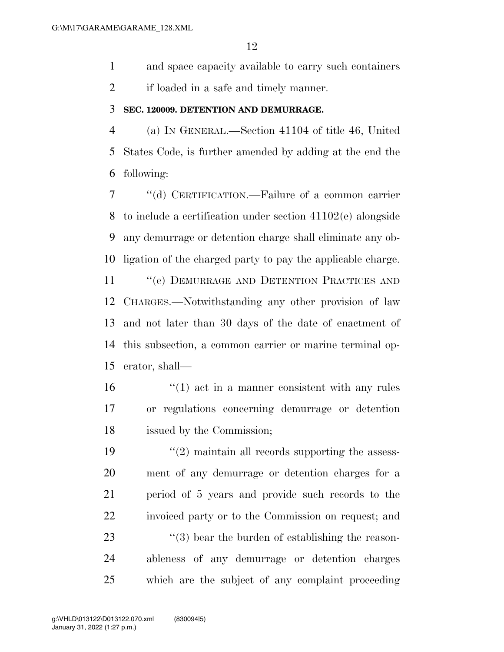and space capacity available to carry such containers

if loaded in a safe and timely manner.

#### **SEC. 120009. DETENTION AND DEMURRAGE.**

 (a) IN GENERAL.—Section 41104 of title 46, United States Code, is further amended by adding at the end the following:

 ''(d) CERTIFICATION.—Failure of a common carrier to include a certification under section 41102(e) alongside any demurrage or detention charge shall eliminate any ob-ligation of the charged party to pay the applicable charge.

11 "(e) DEMURRAGE AND DETENTION PRACTICES AND CHARGES.—Notwithstanding any other provision of law and not later than 30 days of the date of enactment of this subsection, a common carrier or marine terminal op-erator, shall—

 ''(1) act in a manner consistent with any rules or regulations concerning demurrage or detention issued by the Commission;

 $\frac{1}{2}$  maintain all records supporting the assess- ment of any demurrage or detention charges for a period of 5 years and provide such records to the invoiced party or to the Commission on request; and  $\frac{1}{23}$  ''(3) bear the burden of establishing the reason- ableness of any demurrage or detention charges which are the subject of any complaint proceeding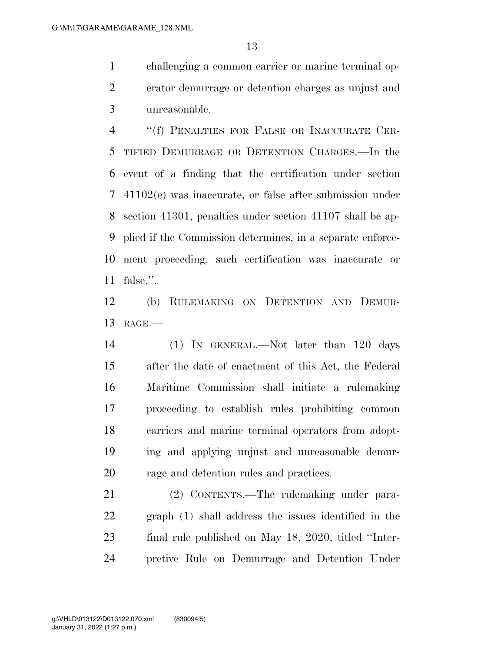challenging a common carrier or marine terminal op- erator demurrage or detention charges as unjust and unreasonable.

 ''(f) PENALTIES FOR FALSE OR INACCURATE CER- TIFIED DEMURRAGE OR DETENTION CHARGES.—In the event of a finding that the certification under section 41102(e) was inaccurate, or false after submission under section 41301, penalties under section 41107 shall be ap- plied if the Commission determines, in a separate enforce- ment proceeding, such certification was inaccurate or false.''.

 (b) RULEMAKING ON DETENTION AND DEMUR-RAGE.—

 (1) IN GENERAL.—Not later than 120 days after the date of enactment of this Act, the Federal Maritime Commission shall initiate a rulemaking proceeding to establish rules prohibiting common carriers and marine terminal operators from adopt- ing and applying unjust and unreasonable demur-rage and detention rules and practices.

 (2) CONTENTS.—The rulemaking under para- graph (1) shall address the issues identified in the final rule published on May 18, 2020, titled ''Inter-pretive Rule on Demurrage and Detention Under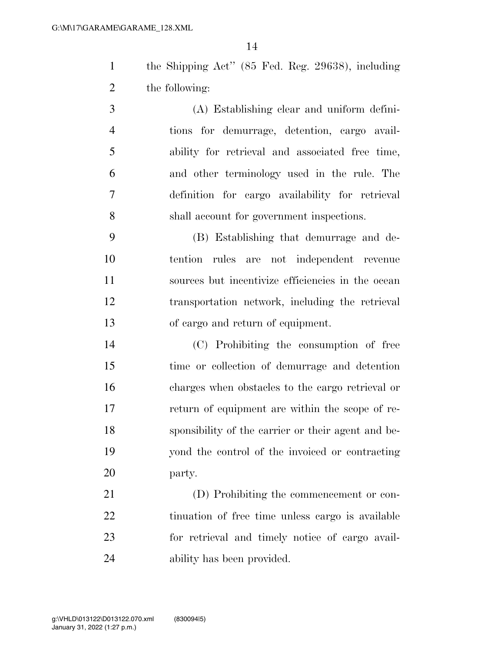the Shipping Act'' (85 Fed. Reg. 29638), including the following:

 (A) Establishing clear and uniform defini- tions for demurrage, detention, cargo avail- ability for retrieval and associated free time, and other terminology used in the rule. The definition for cargo availability for retrieval shall account for government inspections.

 (B) Establishing that demurrage and de- tention rules are not independent revenue sources but incentivize efficiencies in the ocean transportation network, including the retrieval of cargo and return of equipment.

 (C) Prohibiting the consumption of free time or collection of demurrage and detention charges when obstacles to the cargo retrieval or return of equipment are within the scope of re- sponsibility of the carrier or their agent and be- yond the control of the invoiced or contracting party.

 (D) Prohibiting the commencement or con- tinuation of free time unless cargo is available for retrieval and timely notice of cargo avail-ability has been provided.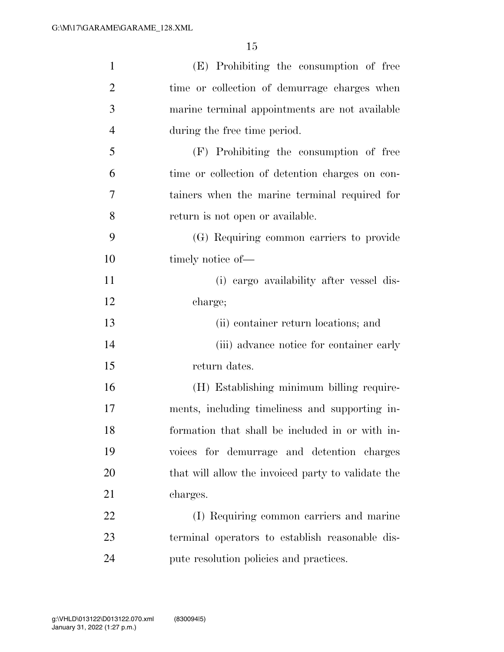| $\mathbf{1}$   | (E) Prohibiting the consumption of free            |
|----------------|----------------------------------------------------|
| $\overline{2}$ | time or collection of demurrage charges when       |
| 3              | marine terminal appointments are not available     |
| $\overline{4}$ | during the free time period.                       |
| 5              | (F) Prohibiting the consumption of free            |
| 6              | time or collection of detention charges on con-    |
| 7              | tainers when the marine terminal required for      |
| 8              | return is not open or available.                   |
| 9              | (G) Requiring common carriers to provide           |
| 10             | timely notice of-                                  |
| 11             | (i) cargo availability after vessel dis-           |
| 12             | charge;                                            |
| 13             | (ii) container return locations; and               |
| 14             | (iii) advance notice for container early           |
| 15             | return dates.                                      |
| 16             | (H) Establishing minimum billing require-          |
| 17             | ments, including timeliness and supporting in-     |
| 18             | formation that shall be included in or with in-    |
| 19             | voices for demurrage and detention charges         |
| 20             | that will allow the invoiced party to validate the |
| 21             | charges.                                           |
| 22             | (I) Requiring common carriers and marine           |
| 23             | terminal operators to establish reasonable dis-    |
| 24             | pute resolution policies and practices.            |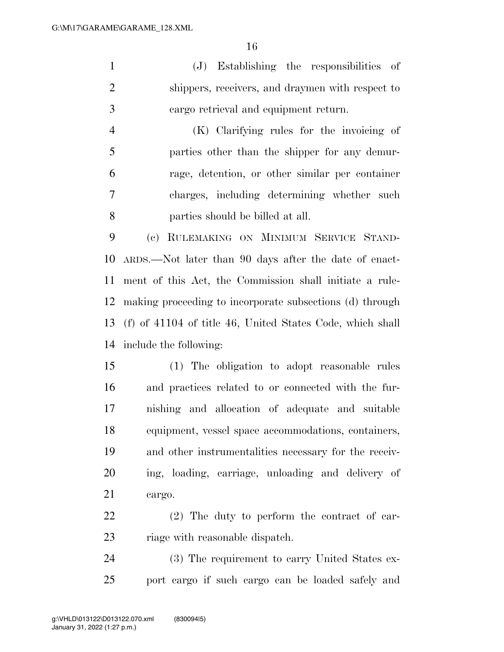(J) Establishing the responsibilities of shippers, receivers, and draymen with respect to cargo retrieval and equipment return.

 (K) Clarifying rules for the invoicing of parties other than the shipper for any demur- rage, detention, or other similar per container charges, including determining whether such parties should be billed at all.

 (c) RULEMAKING ON MINIMUM SERVICE STAND- ARDS.—Not later than 90 days after the date of enact- ment of this Act, the Commission shall initiate a rule- making proceeding to incorporate subsections (d) through (f) of 41104 of title 46, United States Code, which shall include the following:

 (1) The obligation to adopt reasonable rules and practices related to or connected with the fur- nishing and allocation of adequate and suitable equipment, vessel space accommodations, containers, and other instrumentalities necessary for the receiv- ing, loading, carriage, unloading and delivery of cargo.

 (2) The duty to perform the contract of car-23 riage with reasonable dispatch.

 (3) The requirement to carry United States ex-port cargo if such cargo can be loaded safely and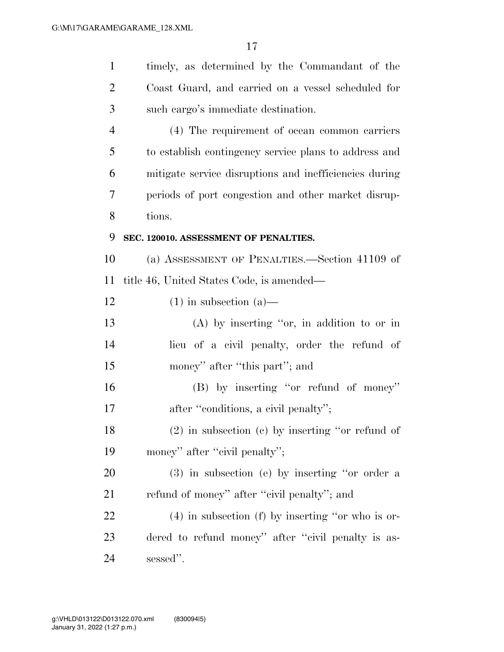| $\mathbf{1}$   | timely, as determined by the Commandant of the         |
|----------------|--------------------------------------------------------|
| $\overline{2}$ | Coast Guard, and carried on a vessel scheduled for     |
| 3              | such cargo's immediate destination.                    |
| $\overline{4}$ | (4) The requirement of ocean common carriers           |
| 5              | to establish contingency service plans to address and  |
| 6              | mitigate service disruptions and inefficiencies during |
| 7              | periods of port congestion and other market disrup-    |
| 8              | tions.                                                 |
| 9              | SEC. 120010. ASSESSMENT OF PENALTIES.                  |
| 10             | (a) ASSESSMENT OF PENALTIES.—Section 41109 of          |
| 11             | title 46, United States Code, is amended—              |
| 12             | $(1)$ in subsection $(a)$ —                            |
| 13             | $(A)$ by inserting "or, in addition to or in           |
| 14             | lieu of a civil penalty, order the refund of           |
| 15             | money" after "this part"; and                          |
| 16             | (B) by inserting "or refund of money"                  |
| 17             | after "conditions, a civil penalty";                   |
| 18             | $(2)$ in subsection $(c)$ by inserting "or refund of   |
| 19             | money" after "civil penalty";                          |
| 20             | $(3)$ in subsection (e) by inserting "or order a       |
| 21             | refund of money" after "civil penalty"; and            |
| 22             | $(4)$ in subsection (f) by inserting "or who is or-    |
| 23             | dered to refund money" after "civil penalty is as-     |
| 24             | sessed".                                               |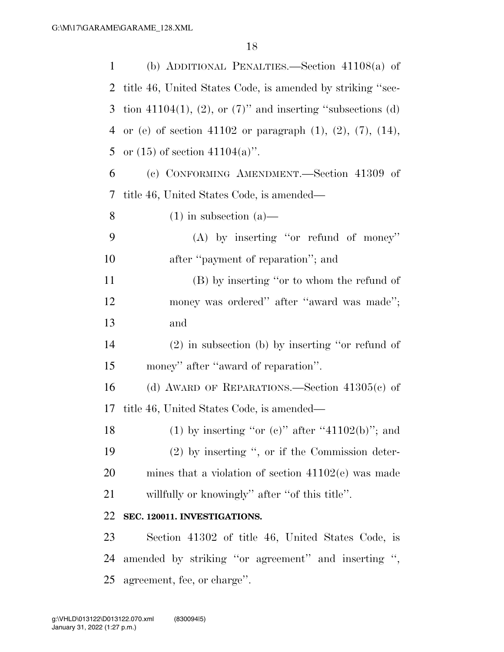| 1  | (b) ADDITIONAL PENALTIES.—Section $41108(a)$ of                       |
|----|-----------------------------------------------------------------------|
| 2  | title 46, United States Code, is amended by striking "sec-            |
| 3  | tion 41104(1), (2), or $(7)$ " and inserting "subsections (d)         |
| 4  | or (e) of section 41102 or paragraph $(1)$ , $(2)$ , $(7)$ , $(14)$ , |
| 5  | or $(15)$ of section $41104(a)$ .                                     |
| 6  | (c) CONFORMING AMENDMENT.—Section 41309 of                            |
| 7  | title 46, United States Code, is amended—                             |
| 8  | $(1)$ in subsection $(a)$ —                                           |
| 9  | $(A)$ by inserting "or refund of money"                               |
| 10 | after "payment of reparation"; and                                    |
| 11 | (B) by inserting "or to whom the refund of                            |
| 12 | money was ordered" after "award was made";                            |
| 13 | and                                                                   |
| 14 | $(2)$ in subsection (b) by inserting "or refund of                    |
| 15 | money" after "award of reparation".                                   |
| 16 | (d) AWARD OF REPARATIONS.—Section $41305(c)$ of                       |
| 17 | title 46, United States Code, is amended—                             |
| 18 | (1) by inserting "or (c)" after "41102(b)"; and                       |
| 19 | $(2)$ by inserting ", or if the Commission deter-                     |
| 20 | mines that a violation of section $41102(e)$ was made                 |
| 21 | willfully or knowingly" after "of this title".                        |
| 22 | SEC. 120011. INVESTIGATIONS.                                          |
| 23 | Section 41302 of title 46, United States Code, is                     |
| 24 | amended by striking "or agreement" and inserting ",                   |
| 25 | agreement, fee, or charge".                                           |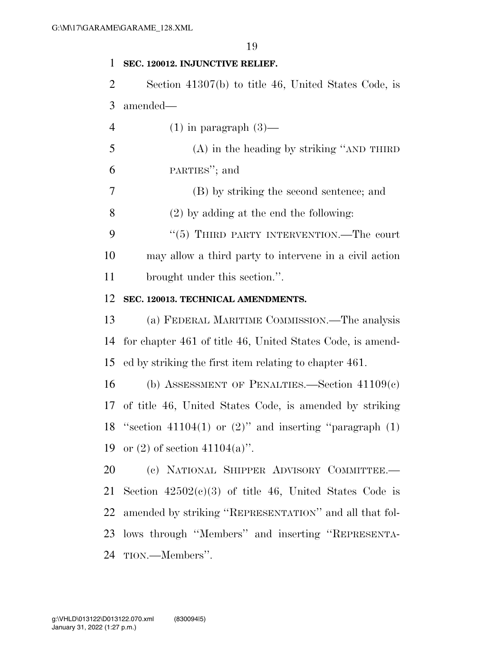#### **SEC. 120012. INJUNCTIVE RELIEF.**

 Section 41307(b) to title 46, United States Code, is amended—

4 (1) in paragraph  $(3)$ —

 (A) in the heading by striking ''AND THIRD PARTIES''; and

(B) by striking the second sentence; and

(2) by adding at the end the following:

9 "(5) THIRD PARTY INTERVENTION.—The court may allow a third party to intervene in a civil action brought under this section.''.

#### **SEC. 120013. TECHNICAL AMENDMENTS.**

 (a) FEDERAL MARITIME COMMISSION.—The analysis for chapter 461 of title 46, United States Code, is amend-ed by striking the first item relating to chapter 461.

 (b) ASSESSMENT OF PENALTIES.—Section 41109(c) of title 46, United States Code, is amended by striking 18 "section 41104(1) or  $(2)$ " and inserting "paragraph  $(1)$ 19 or (2) of section  $41104(a)$ ".

 (c) NATIONAL SHIPPER ADVISORY COMMITTEE.— 21 Section  $42502(c)(3)$  of title 46, United States Code is amended by striking ''REPRESENTATION'' and all that fol- lows through ''Members'' and inserting ''REPRESENTA-TION.—Members''.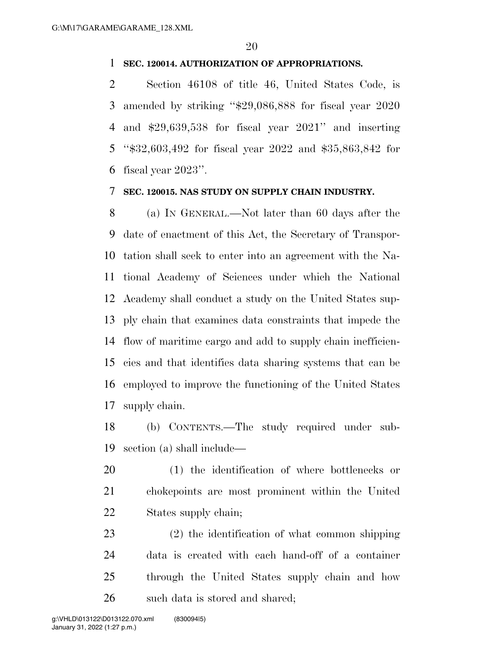#### **SEC. 120014. AUTHORIZATION OF APPROPRIATIONS.**

 Section 46108 of title 46, United States Code, is amended by striking ''\$29,086,888 for fiscal year 2020 and \$29,639,538 for fiscal year 2021'' and inserting ''\$32,603,492 for fiscal year 2022 and \$35,863,842 for fiscal year 2023''.

#### **SEC. 120015. NAS STUDY ON SUPPLY CHAIN INDUSTRY.**

 (a) IN GENERAL.—Not later than 60 days after the date of enactment of this Act, the Secretary of Transpor- tation shall seek to enter into an agreement with the Na- tional Academy of Sciences under which the National Academy shall conduct a study on the United States sup- ply chain that examines data constraints that impede the flow of maritime cargo and add to supply chain inefficien- cies and that identifies data sharing systems that can be employed to improve the functioning of the United States supply chain.

 (b) CONTENTS.—The study required under sub-section (a) shall include—

 (1) the identification of where bottlenecks or chokepoints are most prominent within the United States supply chain;

 (2) the identification of what common shipping data is created with each hand-off of a container through the United States supply chain and how such data is stored and shared;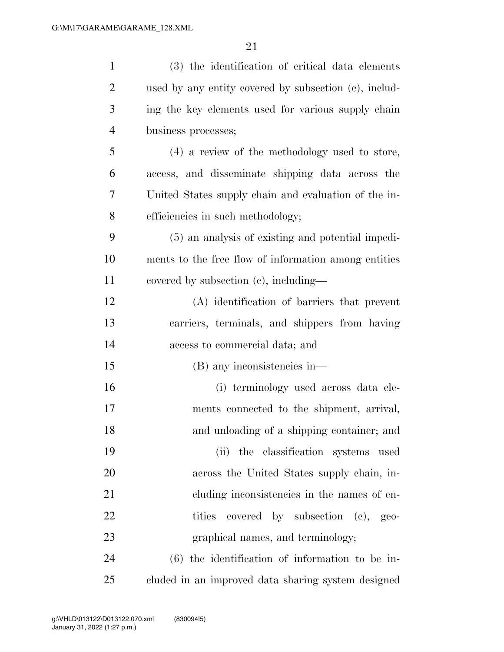| $\mathbf{1}$   | (3) the identification of critical data elements      |
|----------------|-------------------------------------------------------|
| 2              | used by any entity covered by subsection (c), includ- |
| 3              | ing the key elements used for various supply chain    |
| $\overline{4}$ | business processes;                                   |
| 5              | (4) a review of the methodology used to store,        |
| 6              | access, and disseminate shipping data across the      |
| 7              | United States supply chain and evaluation of the in-  |
| 8              | efficiencies in such methodology;                     |
| 9              | (5) an analysis of existing and potential impedi-     |
| 10             | ments to the free flow of information among entities  |
| 11             | covered by subsection (c), including—                 |
| 12             | (A) identification of barriers that prevent           |
| 13             | carriers, terminals, and shippers from having         |
| 14             | access to commercial data; and                        |
| 15             | (B) any inconsistencies in—                           |
| 16             | (i) terminology used across data ele-                 |
| 17             | ments connected to the shipment, arrival,             |
| 18             | and unloading of a shipping container; and            |
| 19             | (ii) the classification systems used                  |
| 20             | across the United States supply chain, in-            |
| 21             | cluding inconsistencies in the names of en-           |
| 22             | tities<br>covered by subsection (c), geo-             |
| 23             | graphical names, and terminology;                     |
| 24             | $(6)$ the identification of information to be in-     |
| 25             | cluded in an improved data sharing system designed    |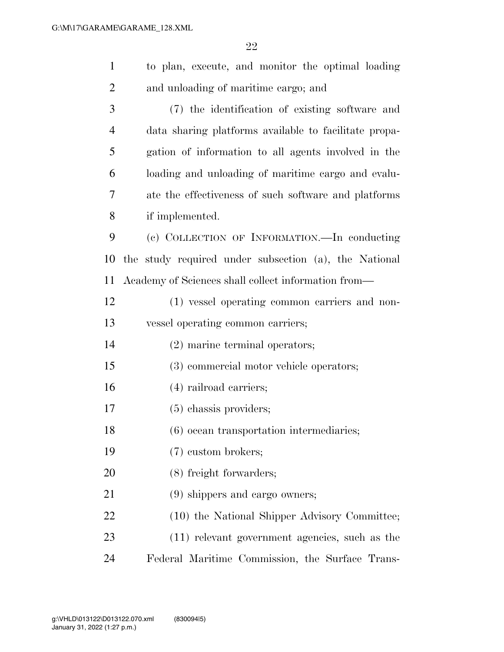| $\mathbf{1}$   | to plan, execute, and monitor the optimal loading     |
|----------------|-------------------------------------------------------|
| $\overline{2}$ | and unloading of maritime cargo; and                  |
| 3              | (7) the identification of existing software and       |
| $\overline{4}$ | data sharing platforms available to facilitate propa- |
| 5              | gation of information to all agents involved in the   |
| 6              | loading and unloading of maritime cargo and evalu-    |
| 7              | ate the effectiveness of such software and platforms  |
| 8              | if implemented.                                       |
| 9              | (c) COLLECTION OF INFORMATION.—In conducting          |
| 10             | the study required under subsection (a), the National |
| 11             | Academy of Sciences shall collect information from—   |
| 12             | (1) vessel operating common carriers and non-         |
| 13             | vessel operating common carriers;                     |
| 14             | $(2)$ marine terminal operators;                      |
| 15             | (3) commercial motor vehicle operators;               |
| 16             | $(4)$ railroad carriers;                              |
| 17             | $(5)$ chassis providers;                              |
| 18             | (6) ocean transportation intermediaries;              |
| 19             | (7) custom brokers;                                   |
| 20             | (8) freight forwarders;                               |
| 21             | (9) shippers and cargo owners;                        |
| 22             | (10) the National Shipper Advisory Committee;         |
| 23             | (11) relevant government agencies, such as the        |
| 24             | Federal Maritime Commission, the Surface Trans-       |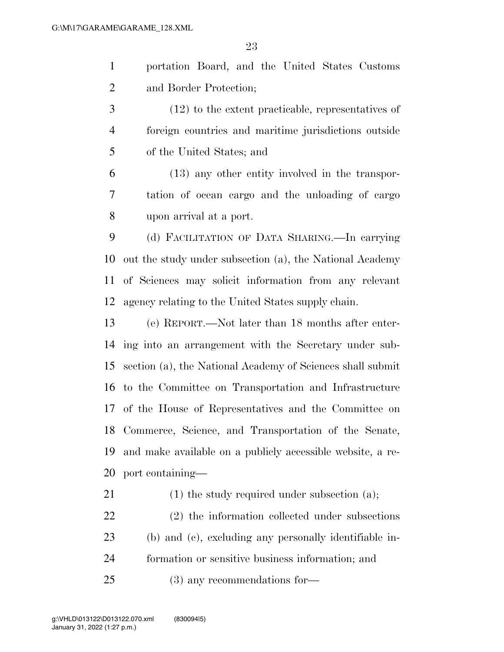portation Board, and the United States Customs and Border Protection;

 (12) to the extent practicable, representatives of foreign countries and maritime jurisdictions outside of the United States; and

 (13) any other entity involved in the transpor- tation of ocean cargo and the unloading of cargo upon arrival at a port.

 (d) FACILITATION OF DATA SHARING.—In carrying out the study under subsection (a), the National Academy of Sciences may solicit information from any relevant agency relating to the United States supply chain.

 (e) REPORT.—Not later than 18 months after enter- ing into an arrangement with the Secretary under sub- section (a), the National Academy of Sciences shall submit to the Committee on Transportation and Infrastructure of the House of Representatives and the Committee on Commerce, Science, and Transportation of the Senate, and make available on a publicly accessible website, a re-port containing—

21 (1) the study required under subsection (a);

 (2) the information collected under subsections (b) and (c), excluding any personally identifiable in- formation or sensitive business information; and (3) any recommendations for—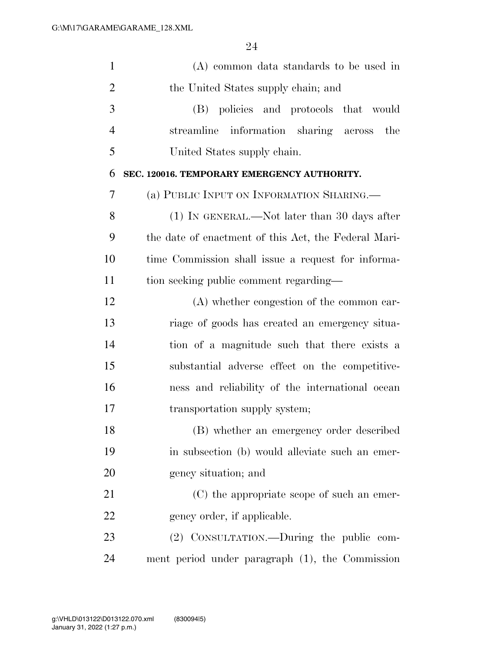| $\mathbf{1}$   | (A) common data standards to be used in              |
|----------------|------------------------------------------------------|
| $\overline{2}$ | the United States supply chain; and                  |
| 3              | (B) policies and protocols that would                |
| $\overline{4}$ | streamline information sharing across<br>the         |
| 5              | United States supply chain.                          |
| 6              | SEC. 120016. TEMPORARY EMERGENCY AUTHORITY.          |
| 7              | (a) PUBLIC INPUT ON INFORMATION SHARING.             |
| 8              | (1) IN GENERAL.—Not later than 30 days after         |
| 9              | the date of enactment of this Act, the Federal Mari- |
| 10             | time Commission shall issue a request for informa-   |
| 11             | tion seeking public comment regarding—               |
| 12             | (A) whether congestion of the common car-            |
| 13             | riage of goods has created an emergency situa-       |
| 14             | tion of a magnitude such that there exists a         |
| 15             | substantial adverse effect on the competitive-       |
| 16             | ness and reliability of the international ocean      |
| 17             | transportation supply system;                        |
| 18             | (B) whether an emergency order described             |
| 19             | in subsection (b) would alleviate such an emer-      |
| <b>20</b>      | gency situation; and                                 |
| 21             | (C) the appropriate scope of such an emer-           |
| 22             | gency order, if applicable.                          |
| 23             | (2) CONSULTATION.—During the public com-             |
| 24             | ment period under paragraph (1), the Commission      |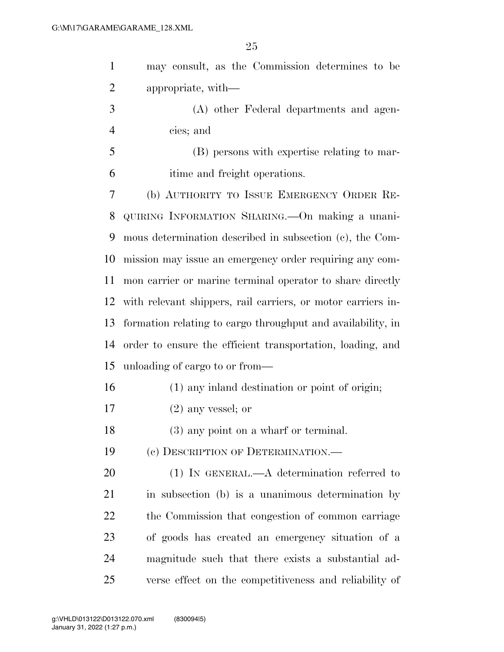| $\mathbf{1}$   | may consult, as the Commission determines to be              |
|----------------|--------------------------------------------------------------|
| $\overline{2}$ | appropriate, with—                                           |
| 3              | (A) other Federal departments and agen-                      |
| $\overline{4}$ | cies; and                                                    |
| 5              | (B) persons with expertise relating to mar-                  |
| 6              | itime and freight operations.                                |
| $\overline{7}$ | (b) AUTHORITY TO ISSUE EMERGENCY ORDER RE-                   |
| 8              | QUIRING INFORMATION SHARING. On making a unani-              |
| 9              | mous determination described in subsection (c), the Com-     |
| 10             | mission may issue an emergency order requiring any com-      |
| 11             | mon carrier or marine terminal operator to share directly    |
| 12             | with relevant shippers, rail carriers, or motor carriers in- |
| 13             | formation relating to cargo throughput and availability, in  |
| 14             | order to ensure the efficient transportation, loading, and   |
| 15             | unloading of cargo to or from—                               |
| 16             | (1) any inland destination or point of origin;               |
| 17             | $(2)$ any vessel; or                                         |
| 18             | $(3)$ any point on a wharf or terminal.                      |
| 19             | (c) DESCRIPTION OF DETERMINATION.-                           |
| 20             | $(1)$ IN GENERAL.—A determination referred to                |
| 21             | in subsection (b) is a unanimous determination by            |
| 22             | the Commission that congestion of common carriage            |
| 23             | of goods has created an emergency situation of a             |
| 24             | magnitude such that there exists a substantial ad-           |
| 25             | verse effect on the competitiveness and reliability of       |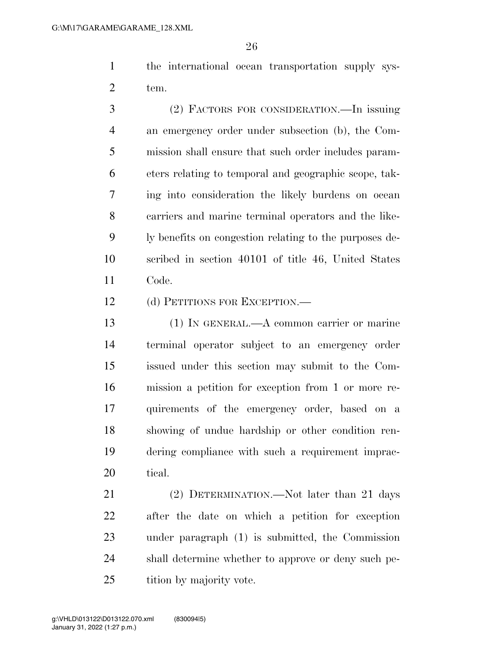the international ocean transportation supply sys-tem.

 (2) FACTORS FOR CONSIDERATION.—In issuing an emergency order under subsection (b), the Com- mission shall ensure that such order includes param- eters relating to temporal and geographic scope, tak- ing into consideration the likely burdens on ocean carriers and marine terminal operators and the like- ly benefits on congestion relating to the purposes de- scribed in section 40101 of title 46, United States Code.

(d) PETITIONS FOR EXCEPTION.—

 (1) IN GENERAL.—A common carrier or marine terminal operator subject to an emergency order issued under this section may submit to the Com- mission a petition for exception from 1 or more re- quirements of the emergency order, based on a showing of undue hardship or other condition ren- dering compliance with such a requirement imprac-tical.

21 (2) DETERMINATION.—Not later than 21 days after the date on which a petition for exception under paragraph (1) is submitted, the Commission shall determine whether to approve or deny such pe-25 tition by majority vote.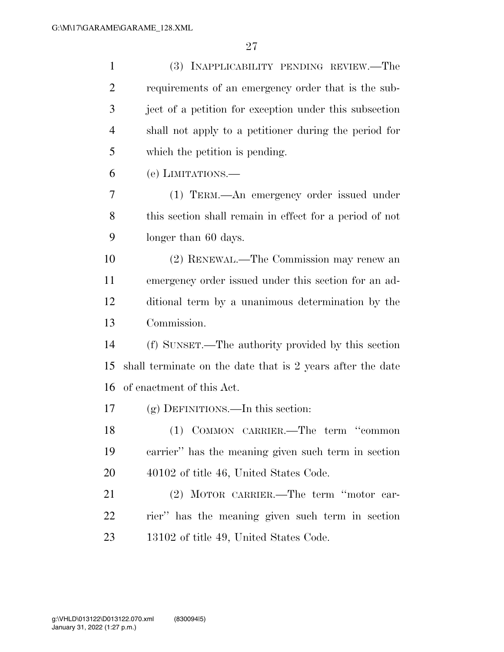| $\mathbf{1}$   | (3) INAPPLICABILITY PENDING REVIEW.—The                    |
|----------------|------------------------------------------------------------|
| $\overline{2}$ | requirements of an emergency order that is the sub-        |
| 3              | ject of a petition for exception under this subsection     |
| $\overline{4}$ | shall not apply to a petitioner during the period for      |
| 5              | which the petition is pending.                             |
| 6              | (e) LIMITATIONS.—                                          |
| 7              | (1) TERM.—An emergency order issued under                  |
| 8              | this section shall remain in effect for a period of not    |
| 9              | longer than 60 days.                                       |
| 10             | (2) RENEWAL.—The Commission may renew an                   |
| 11             | emergency order issued under this section for an ad-       |
| 12             | ditional term by a unanimous determination by the          |
| 13             | Commission.                                                |
| 14             | (f) SUNSET.—The authority provided by this section         |
| 15             | shall terminate on the date that is 2 years after the date |
| 16             | of enactment of this Act.                                  |
| 17             | $(g)$ DEFINITIONS.—In this section:                        |
| 18             | (1) COMMON CARRIER.—The term "common                       |
| 19             | carrier" has the meaning given such term in section        |
| 20             | 40102 of title 46, United States Code.                     |
| 21             | (2) MOTOR CARRIER.—The term "motor car-                    |
| 22             | rier" has the meaning given such term in section           |
| 23             | 13102 of title 49, United States Code.                     |